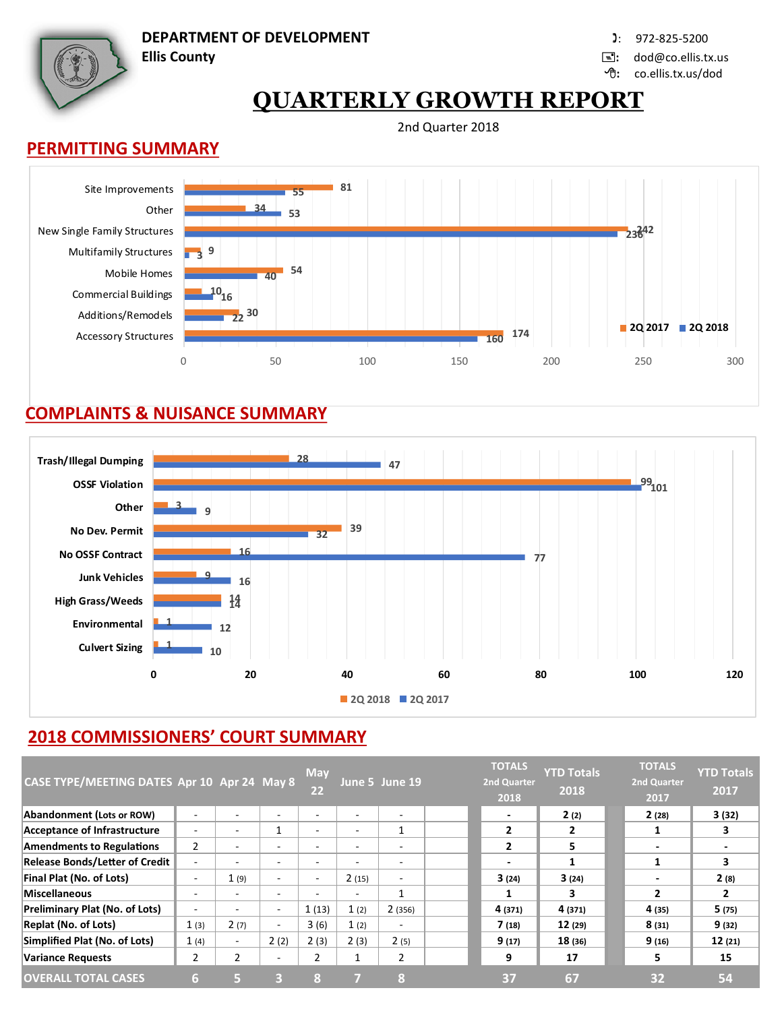

**DEPARTMENT OF DEVELOPMENT In the case of the COVID-100 (2001)** 1: 972-825-5200

**Ellis County :** dod@co.ellis.tx.us

**:** co.ellis.tx.us/dod

# **QUARTERLY GROWTH REPORT**

2nd Quarter 2018

### **PERMITTING SUMMARY**



### **COMPLAINTS & NUISANCE SUMMARY**



## **2018 COMMISSIONERS' COURT SUMMARY**

| CASE TYPE/MEETING DATES Apr 10 Apr 24 May 8 |                |                          |                          | <b>May</b><br>22         |                          | June 5 June 19           | <b>TOTALS</b><br><b>2nd Quarter</b><br>2018 | <b>YTD Totals</b><br>2018 | <b>TOTALS</b><br>2nd Quarter<br>2017 | <b>YTD Totals</b><br>2017 |
|---------------------------------------------|----------------|--------------------------|--------------------------|--------------------------|--------------------------|--------------------------|---------------------------------------------|---------------------------|--------------------------------------|---------------------------|
| Abandonment (Lots or ROW)                   |                | $\overline{\phantom{0}}$ | ٠                        | $\overline{\phantom{0}}$ | ٠                        | $\overline{\phantom{a}}$ | ٠                                           | 2(2)                      | 2(28)                                | 3(32)                     |
| Acceptance of Infrastructure                |                | $\overline{\phantom{0}}$ | 1                        | $\sim$                   | $\overline{\phantom{a}}$ | 1                        | $\overline{2}$                              | $\mathbf{2}$              |                                      | 3                         |
| <b>Amendments to Regulations</b>            | $\overline{2}$ |                          | ٠                        | $\overline{\phantom{0}}$ | ٠                        | $\overline{\phantom{a}}$ | $\overline{2}$                              | 5                         | $\overline{\phantom{0}}$             |                           |
| <b>Release Bonds/Letter of Credit</b>       |                |                          | $\overline{\phantom{a}}$ | $\overline{\phantom{a}}$ | $\overline{\phantom{0}}$ | ۰                        | $\overline{\phantom{0}}$                    | 1                         |                                      | 3                         |
| Final Plat (No. of Lots)                    | ۰.             | 1(9)                     | ٠                        | $\sim$                   | 2(15)                    | ٠                        | 3(24)                                       | 3(24)                     | $\overline{\phantom{0}}$             | 2(8)                      |
| Miscellaneous                               | -              |                          | $\overline{\phantom{a}}$ | $\overline{\phantom{0}}$ | $\overline{\phantom{0}}$ | 1                        |                                             | 3                         | $\mathbf{z}$                         | $\mathbf{2}$              |
| <b>Preliminary Plat (No. of Lots)</b>       |                |                          | $\sim$                   | 1(13)                    | 1(2)                     | 2(356)                   | 4 (371)                                     | 4 (371)                   | 4 (35)                               | 5(75)                     |
| <b>Replat (No. of Lots)</b>                 | 1(3)           | 2(7)                     | $\sim$                   | 3(6)                     | 1(2)                     | $\sim$                   | 7(18)                                       | 12(29)                    | 8(31)                                | 9(32)                     |
| Simplified Plat (No. of Lots)               | 1(4)           | $\overline{\phantom{0}}$ | 2(2)                     | 2(3)                     | 2(3)                     | 2(5)                     | 9(17)                                       | 18(36)                    | 9(16)                                | 12(21)                    |
| <b>Variance Requests</b>                    | 2              | 2                        | $\overline{\phantom{a}}$ | 2                        | 1                        | 2                        | 9                                           | 17                        | 5                                    | 15                        |
| <b>OVERALL TOTAL CASES</b>                  | 6.             | ь.                       | Β                        | 8                        |                          | 8                        | 37                                          | 67                        | 32                                   | 54                        |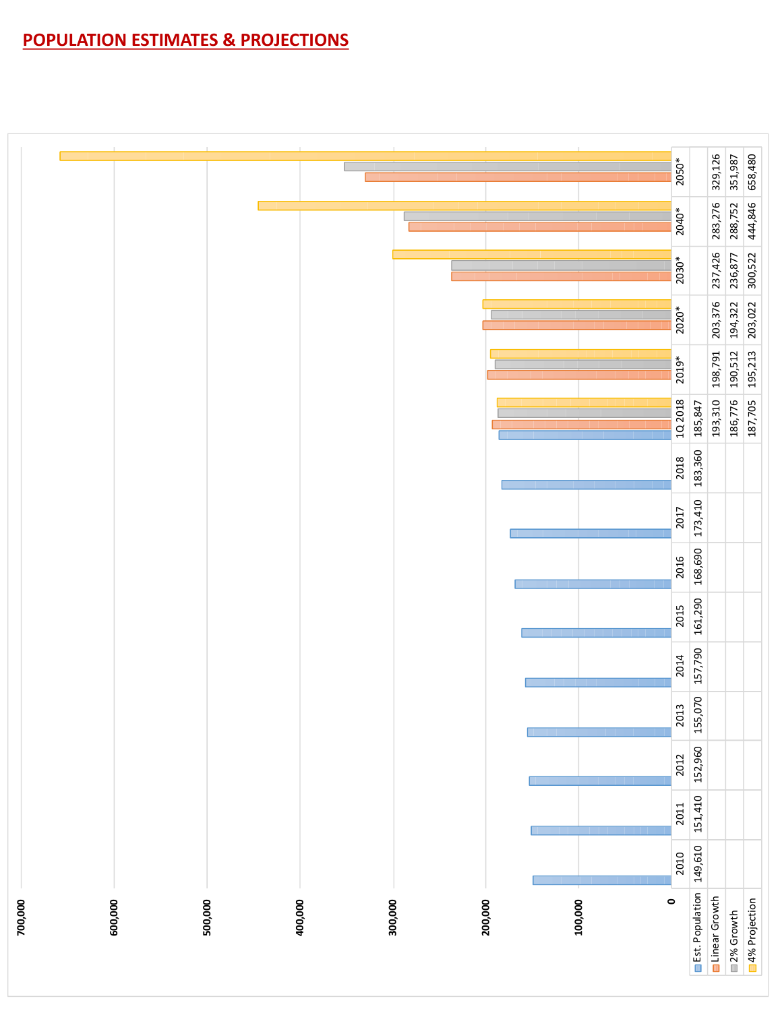## **POPULATION ESTIMATES & PROJECTIONS**